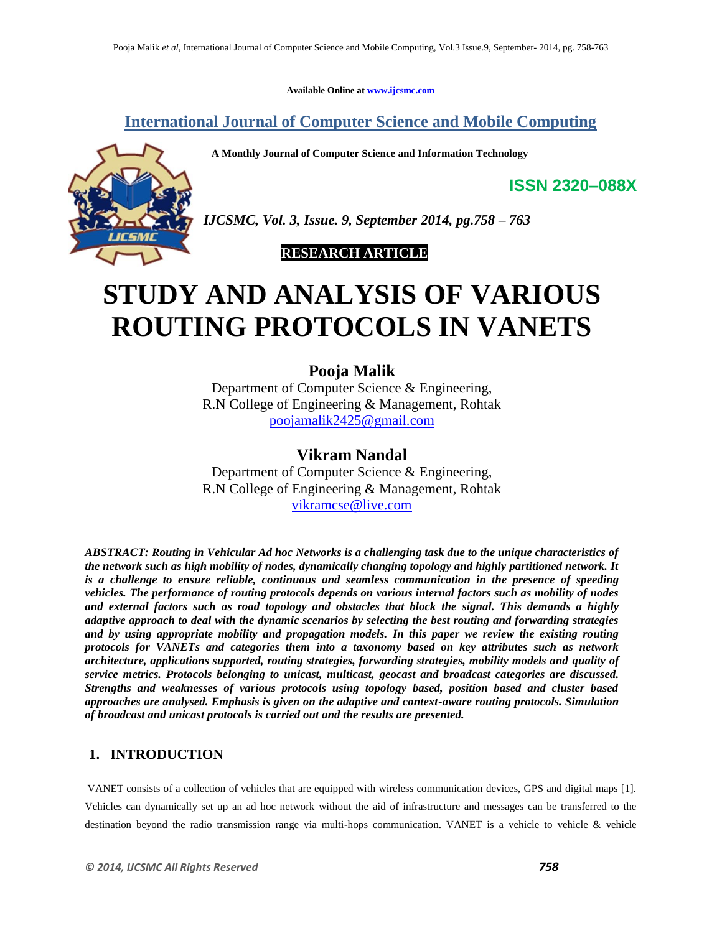**Available Online at www.ijcsmc.com**

**International Journal of Computer Science and Mobile Computing**

 **A Monthly Journal of Computer Science and Information Technology**



*IJCSMC, Vol. 3, Issue. 9, September 2014, pg.758 – 763*

# **RESEARCH ARTICLE**

# **STUDY AND ANALYSIS OF VARIOUS ROUTING PROTOCOLS IN VANETS**

# **Pooja Malik**

Department of Computer Science & Engineering, R.N College of Engineering & Management, Rohtak poojamalik2425@gmail.com

# **Vikram Nandal**

Department of Computer Science & Engineering, R.N College of Engineering & Management, Rohtak vikramcse@live.com

*ABSTRACT: Routing in Vehicular Ad hoc Networks is a challenging task due to the unique characteristics of the network such as high mobility of nodes, dynamically changing topology and highly partitioned network. It is a challenge to ensure reliable, continuous and seamless communication in the presence of speeding vehicles. The performance of routing protocols depends on various internal factors such as mobility of nodes and external factors such as road topology and obstacles that block the signal. This demands a highly adaptive approach to deal with the dynamic scenarios by selecting the best routing and forwarding strategies and by using appropriate mobility and propagation models. In this paper we review the existing routing protocols for VANETs and categories them into a taxonomy based on key attributes such as network architecture, applications supported, routing strategies, forwarding strategies, mobility models and quality of service metrics. Protocols belonging to unicast, multicast, geocast and broadcast categories are discussed. Strengths and weaknesses of various protocols using topology based, position based and cluster based approaches are analysed. Emphasis is given on the adaptive and context-aware routing protocols. Simulation of broadcast and unicast protocols is carried out and the results are presented.*

# **1. INTRODUCTION**

VANET consists of a collection of vehicles that are equipped with wireless communication devices, GPS and digital maps [1]. Vehicles can dynamically set up an ad hoc network without the aid of infrastructure and messages can be transferred to the destination beyond the radio transmission range via multi-hops communication. VANET is a vehicle to vehicle & vehicle

**ISSN 2320–088X**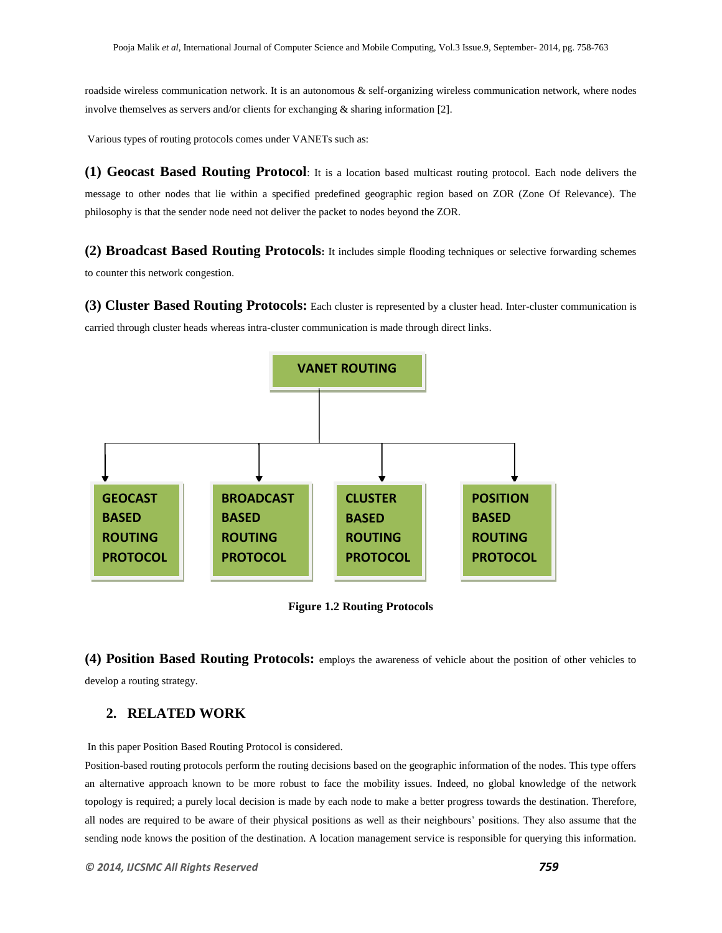roadside wireless communication network. It is an autonomous & self-organizing wireless communication network, where nodes involve themselves as servers and/or clients for exchanging & sharing information [2].

Various types of routing protocols comes under VANETs such as:

**(1) Geocast Based Routing Protocol**: It is a location based multicast routing protocol. Each node delivers the message to other nodes that lie within a specified predefined geographic region based on ZOR (Zone Of Relevance). The philosophy is that the sender node need not deliver the packet to nodes beyond the ZOR.

**(2) Broadcast Based Routing Protocols:** It includes simple flooding techniques or selective forwarding schemes to counter this network congestion.

**(3) Cluster Based Routing Protocols:** Each cluster is represented by a cluster head. Inter-cluster communication is carried through cluster heads whereas intra-cluster communication is made through direct links.



**Figure 1.2 Routing Protocols**

**(4) Position Based Routing Protocols:** employs the awareness of vehicle about the position of other vehicles to develop a routing strategy.

## **2. RELATED WORK**

In this paper Position Based Routing Protocol is considered.

Position-based routing protocols perform the routing decisions based on the geographic information of the nodes. This type offers an alternative approach known to be more robust to face the mobility issues. Indeed, no global knowledge of the network topology is required; a purely local decision is made by each node to make a better progress towards the destination. Therefore, all nodes are required to be aware of their physical positions as well as their neighbours" positions. They also assume that the sending node knows the position of the destination. A location management service is responsible for querying this information.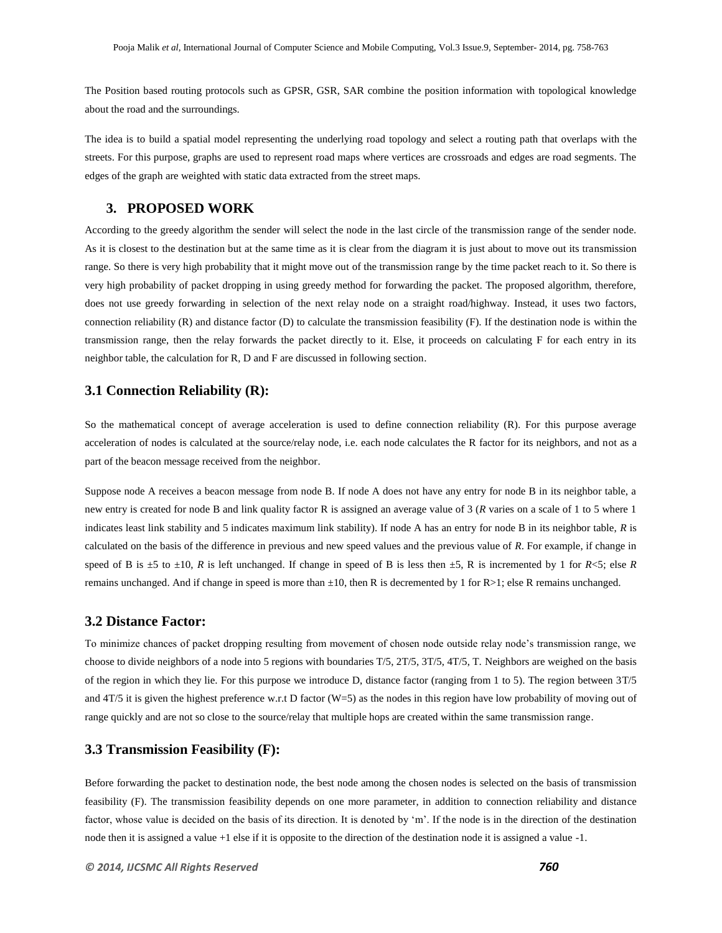The Position based routing protocols such as GPSR, GSR, SAR combine the position information with topological knowledge about the road and the surroundings.

The idea is to build a spatial model representing the underlying road topology and select a routing path that overlaps with the streets. For this purpose, graphs are used to represent road maps where vertices are crossroads and edges are road segments. The edges of the graph are weighted with static data extracted from the street maps.

## **3. PROPOSED WORK**

According to the greedy algorithm the sender will select the node in the last circle of the transmission range of the sender node. As it is closest to the destination but at the same time as it is clear from the diagram it is just about to move out its transmission range. So there is very high probability that it might move out of the transmission range by the time packet reach to it. So there is very high probability of packet dropping in using greedy method for forwarding the packet. The proposed algorithm, therefore, does not use greedy forwarding in selection of the next relay node on a straight road/highway. Instead, it uses two factors, connection reliability (R) and distance factor (D) to calculate the transmission feasibility (F). If the destination node is within the transmission range, then the relay forwards the packet directly to it. Else, it proceeds on calculating F for each entry in its neighbor table, the calculation for R, D and F are discussed in following section.

## **3.1 Connection Reliability (R):**

So the mathematical concept of average acceleration is used to define connection reliability (R). For this purpose average acceleration of nodes is calculated at the source/relay node, i.e. each node calculates the R factor for its neighbors, and not as a part of the beacon message received from the neighbor.

Suppose node A receives a beacon message from node B. If node A does not have any entry for node B in its neighbor table, a new entry is created for node B and link quality factor R is assigned an average value of 3 (*R* varies on a scale of 1 to 5 where 1 indicates least link stability and 5 indicates maximum link stability). If node A has an entry for node B in its neighbor table, *R* is calculated on the basis of the difference in previous and new speed values and the previous value of *R*. For example, if change in speed of B is  $\pm$ 5 to  $\pm$ 10, R is left unchanged. If change in speed of B is less then  $\pm$ 5, R is incremented by 1 for  $R$ <5; else R remains unchanged. And if change in speed is more than  $\pm 10$ , then R is decremented by 1 for R>1; else R remains unchanged.

#### **3.2 Distance Factor:**

To minimize chances of packet dropping resulting from movement of chosen node outside relay node"s transmission range, we choose to divide neighbors of a node into 5 regions with boundaries T/5, 2T/5, 3T/5, 4T/5, T. Neighbors are weighed on the basis of the region in which they lie. For this purpose we introduce D, distance factor (ranging from 1 to 5). The region between 3T/5 and 4T/5 it is given the highest preference w.r.t D factor (W=5) as the nodes in this region have low probability of moving out of range quickly and are not so close to the source/relay that multiple hops are created within the same transmission range.

#### **3.3 Transmission Feasibility (F):**

Before forwarding the packet to destination node, the best node among the chosen nodes is selected on the basis of transmission feasibility (F). The transmission feasibility depends on one more parameter, in addition to connection reliability and distance factor, whose value is decided on the basis of its direction. It is denoted by "m". If the node is in the direction of the destination node then it is assigned a value +1 else if it is opposite to the direction of the destination node it is assigned a value -1.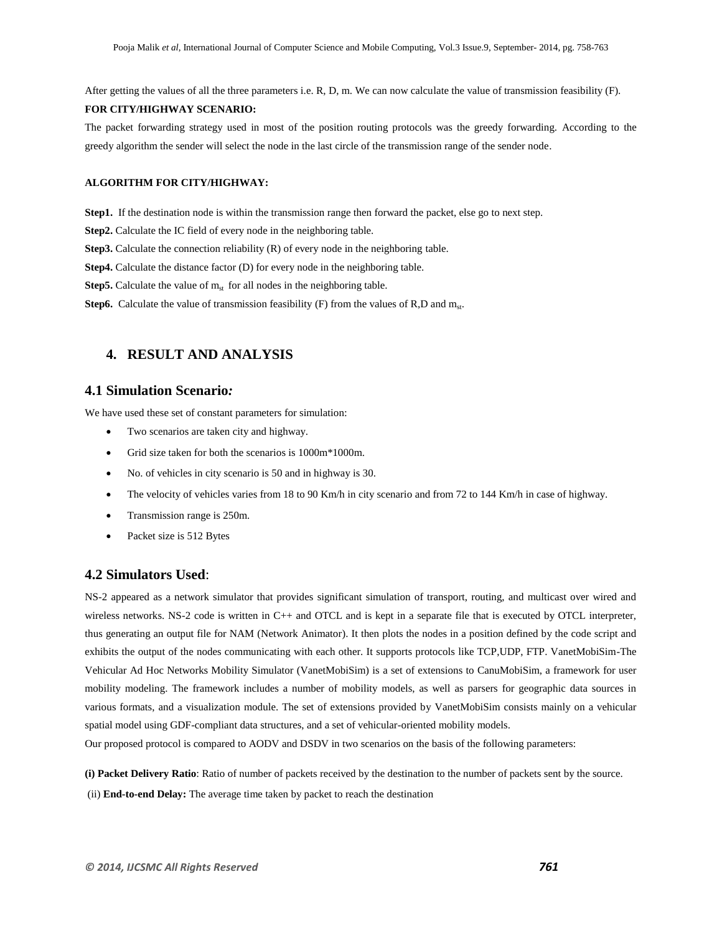After getting the values of all the three parameters i.e. R, D, m. We can now calculate the value of transmission feasibility (F).

#### **FOR CITY/HIGHWAY SCENARIO:**

The packet forwarding strategy used in most of the position routing protocols was the greedy forwarding. According to the greedy algorithm the sender will select the node in the last circle of the transmission range of the sender node.

#### **ALGORITHM FOR CITY/HIGHWAY:**

**Step1.** If the destination node is within the transmission range then forward the packet, else go to next step.

**Step2.** Calculate the IC field of every node in the neighboring table.

**Step3.** Calculate the connection reliability (R) of every node in the neighboring table.

**Step4.** Calculate the distance factor (D) for every node in the neighboring table.

**Step5.** Calculate the value of  $m_{st}$  for all nodes in the neighboring table.

**Step6.** Calculate the value of transmission feasibility  $(F)$  from the values of R,D and  $m_{st}$ .

## **4. RESULT AND ANALYSIS**

#### **4.1 Simulation Scenario***:*

We have used these set of constant parameters for simulation:

- Two scenarios are taken city and highway.
- Grid size taken for both the scenarios is 1000m\*1000m.
- No. of vehicles in city scenario is 50 and in highway is 30.
- The velocity of vehicles varies from 18 to 90 Km/h in city scenario and from 72 to 144 Km/h in case of highway.
- Transmission range is 250m.
- Packet size is 512 Bytes

#### **4.2 Simulators Used**:

NS-2 appeared as a network simulator that provides significant simulation of transport, routing, and multicast over wired and wireless networks. NS-2 code is written in C++ and OTCL and is kept in a separate file that is executed by OTCL interpreter, thus generating an output file for NAM (Network Animator). It then plots the nodes in a position defined by the code script and exhibits the output of the nodes communicating with each other. It supports protocols like TCP,UDP, FTP. VanetMobiSim-The Vehicular Ad Hoc Networks Mobility Simulator (VanetMobiSim) is a set of extensions to CanuMobiSim, a framework for user mobility modeling. The framework includes a number of mobility models, as well as parsers for geographic data sources in various formats, and a visualization module. The set of extensions provided by VanetMobiSim consists mainly on a vehicular spatial model using GDF-compliant data structures, and a set of vehicular-oriented mobility models.

Our proposed protocol is compared to AODV and DSDV in two scenarios on the basis of the following parameters:

**(i) Packet Delivery Ratio**: Ratio of number of packets received by the destination to the number of packets sent by the source.

(ii) **End-to-end Delay:** The average time taken by packet to reach the destination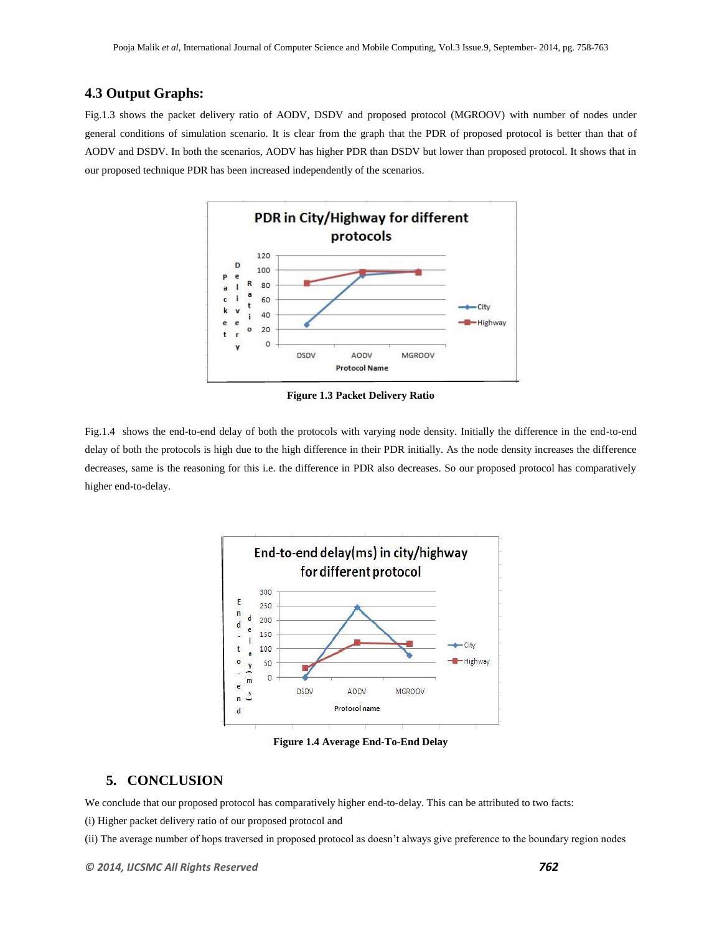## **4.3 Output Graphs:**

Fig.1.3 shows the packet delivery ratio of AODV, DSDV and proposed protocol (MGROOV) with number of nodes under general conditions of simulation scenario. It is clear from the graph that the PDR of proposed protocol is better than that of AODV and DSDV. In both the scenarios, AODV has higher PDR than DSDV but lower than proposed protocol. It shows that in our proposed technique PDR has been increased independently of the scenarios.



**Figure 1.3 Packet Delivery Ratio**

Fig.1.4 shows the end-to-end delay of both the protocols with varying node density. Initially the difference in the end-to-end delay of both the protocols is high due to the high difference in their PDR initially. As the node density increases the difference decreases, same is the reasoning for this i.e. the difference in PDR also decreases. So our proposed protocol has comparatively higher end-to-delay.



**Figure 1.4 Average End-To-End Delay**

## **5. CONCLUSION**

We conclude that our proposed protocol has comparatively higher end-to-delay. This can be attributed to two facts:

(i) Higher packet delivery ratio of our proposed protocol and

(ii) The average number of hops traversed in proposed protocol as doesn"t always give preference to the boundary region nodes